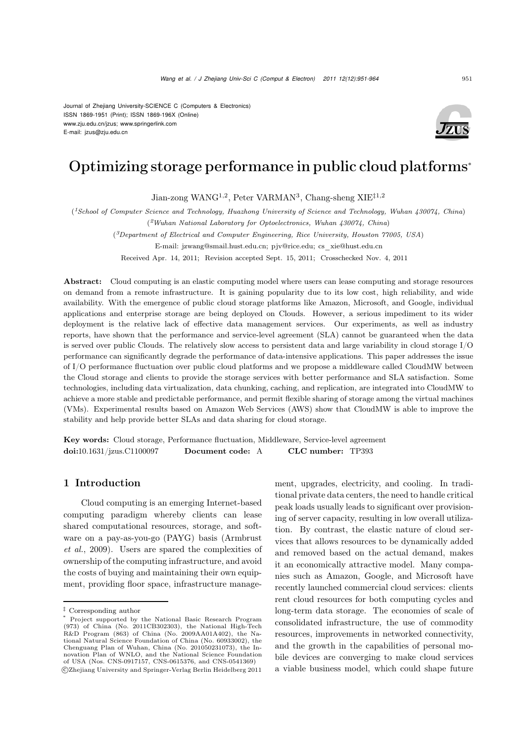Journal of Zhejiang University-SCIENCE C (Computers & Electronics) ISSN 1869-1951 (Print); ISSN 1869-196X (Online) www.zju.edu.cn/jzus; www.springerlink.com E-mail: jzus@zju.edu.cn



# Optimizing storage performance in public cloud platforms<sup>∗</sup>

Jian-zong WANG<sup>1,2</sup>, Peter VARMAN<sup>3</sup>, Chang-sheng XIE<sup>‡1,2</sup>

(*1School of Computer Science and Technology, Huazhong University of Science and Technology, Wuhan 430074, China*) (*2Wuhan National Laboratory for Optoelectronics, Wuhan 430074, China*)

(*3Department of Electrical and Computer Engineering, Rice University, Houston 77005, USA*)

E-mail: jzwang@smail.hust.edu.cn; pjv@rice.edu; cs\_xie@hust.edu.cn

Received Apr. 14, 2011; Revision accepted Sept. 15, 2011; Crosschecked Nov. 4, 2011

Abstract: Cloud computing is an elastic computing model where users can lease computing and storage resources on demand from a remote infrastructure. It is gaining popularity due to its low cost, high reliability, and wide availability. With the emergence of public cloud storage platforms like Amazon, Microsoft, and Google, individual applications and enterprise storage are being deployed on Clouds. However, a serious impediment to its wider deployment is the relative lack of effective data management services. Our experiments, as well as industry reports, have shown that the performance and service-level agreement (SLA) cannot be guaranteed when the data is served over public Clouds. The relatively slow access to persistent data and large variability in cloud storage I/O performance can significantly degrade the performance of data-intensive applications. This paper addresses the issue of I/O performance fluctuation over public cloud platforms and we propose a middleware called CloudMW between the Cloud storage and clients to provide the storage services with better performance and SLA satisfaction. Some technologies, including data virtualization, data chunking, caching, and replication, are integrated into CloudMW to achieve a more stable and predictable performance, and permit flexible sharing of storage among the virtual machines (VMs). Experimental results based on Amazon Web Services (AWS) show that CloudMW is able to improve the stability and help provide better SLAs and data sharing for cloud storage.

Key words: Cloud storage, Performance fluctuation, Middleware, Service-level agreement doi:10.1631/jzus.C1100097 Document code: A CLC number: TP393

# 1 Introduction

Cloud computing is an emerging Internet-based computing paradigm whereby clients can lease shared computational resources, storage, and software on a pay-as-you-go (PAYG) basis (Armbrust *et al.*, 2009). Users are spared the complexities of ownership of the computing infrastructure, and avoid the costs of buying and maintaining their own equipment, providing floor space, infrastructure management, upgrades, electricity, and cooling. In traditional private data centers, the need to handle critical peak loads usually leads to significant over provisioning of server capacity, resulting in low overall utilization. By contrast, the elastic nature of cloud services that allows resources to be dynamically added and removed based on the actual demand, makes it an economically attractive model. Many companies such as Amazon, Google, and Microsoft have recently launched commercial cloud services: clients rent cloud resources for both computing cycles and long-term data storage. The economies of scale of consolidated infrastructure, the use of commodity resources, improvements in networked connectivity, and the growth in the capabilities of personal mobile devices are converging to make cloud services a viable business model, which could shape future

<sup>‡</sup> Corresponding author

<sup>\*</sup> Project supported by the National Basic Research Program (973) of China (No. 2011CB302303), the National High-Tech R&D Program (863) of China (No. 2009AA01A402), the National Natural Science Foundation of China (No. 60933002), the Chenguang Plan of Wuhan, China (No. 201050231073), the Innovation Plan of WNLO, and the National Science Foundation of USA (Nos. CNS-0917157, CNS-0615376, and CNS-0541369) c Zhejiang University and Springer-Verlag Berlin Heidelberg 2011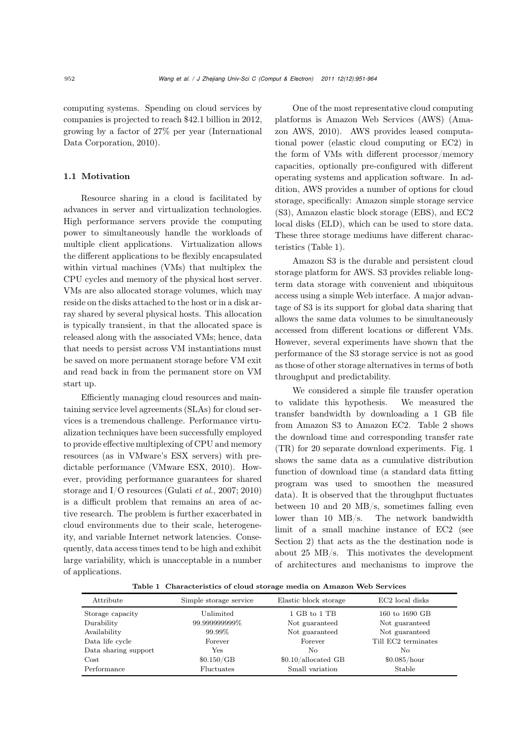computing systems. Spending on cloud services by companies is projected to reach \$42.<sup>1</sup> billion in 2012, growing by a factor of 27% per year (International Data Corporation, 2010).

# 1.1 Motivation

Resource sharing in a cloud is facilitated by advances in server and virtualization technologies. High performance servers provide the computing power to simultaneously handle the workloads of multiple client applications. Virtualization allows the different applications to be flexibly encapsulated within virtual machines (VMs) that multiplex the CPU cycles and memory of the physical host server. VMs are also allocated storage volumes, which may reside on the disks attached to the host or in a disk array shared by several physical hosts. This allocation is typically transient, in that the allocated space is released along with the associated VMs; hence, data that needs to persist across VM instantiations must be saved on more permanent storage before VM exit and read back in from the permanent store on VM start up.

Efficiently managing cloud resources and maintaining service level agreements (SLAs) for cloud services is a tremendous challenge. Performance virtualization techniques have been successfully employed to provide effective multiplexing of CPU and memory resources (as in VMware's ESX servers) with predictable performance (VMware ESX, 2010). However, providing performance guarantees for shared storage and I/O resources (Gulati *et al*., 2007; 2010) is a difficult problem that remains an area of active research. The problem is further exacerbated in cloud environments due to their scale, heterogeneity, and variable Internet network latencies. Consequently, data access times tend to be high and exhibit large variability, which is unacceptable in a number of applications.

One of the most representative cloud computing platforms is Amazon Web Services (AWS) (Amazon AWS, 2010). AWS provides leased computational power (elastic cloud computing or EC2) in the form of VMs with different processor/memory capacities, optionally pre-configured with different operating systems and application software. In addition, AWS provides a number of options for cloud storage, specifically: Amazon simple storage service (S3), Amazon elastic block storage (EBS), and EC2 local disks (ELD), which can be used to store data. These three storage mediums have different characteristics (Table 1).

Amazon S3 is the durable and persistent cloud storage platform for AWS. S3 provides reliable longterm data storage with convenient and ubiquitous access using a simple Web interface. A major advantage of S3 is its support for global data sharing that allows the same data volumes to be simultaneously accessed from different locations or different VMs. However, several experiments have shown that the performance of the S3 storage service is not as good as those of other storage alternatives in terms of both throughput and predictability.

We considered a simple file transfer operation to validate this hypothesis. We measured the transfer bandwidth by downloading a 1 GB file from Amazon S3 to Amazon EC2. Table 2 shows the download time and corresponding transfer rate (TR) for 20 separate download experiments. Fig. 1 shows the same data as a cumulative distribution function of download time (a standard data fitting program was used to smoothen the measured data). It is observed that the throughput fluctuates between 10 and 20 MB/s, sometimes falling even lower than 10 MB/s. The network bandwidth limit of a small machine instance of EC2 (see Section 2) that acts as the the destination node is about 25 MB/s. This motivates the development of architectures and mechanisms to improve the

Table 1 Characteristics of cloud storage media on Amazon Web Services

| Attribute                                      | Simple storage service               | Elastic block storage                            | EC2 local disks                                    |
|------------------------------------------------|--------------------------------------|--------------------------------------------------|----------------------------------------------------|
| Storage capacity<br>Durability<br>Availability | Unlimited<br>99.999999999%<br>99.99% | 1 GB to 1 TB<br>Not guaranteed<br>Not guaranteed | 160 to 1690 GB<br>Not guaranteed<br>Not guaranteed |
| Data life cycle                                | Forever                              | Forever                                          | Till EC2 terminates                                |
| Data sharing support                           | Yes                                  | No.                                              | No.                                                |
| Cost                                           | $$0.150/\text{GB}$                   | \$0.10/allocated GB                              | \$0.085/hour                                       |
| Performance                                    | Fluctuates                           | Small variation                                  | Stable                                             |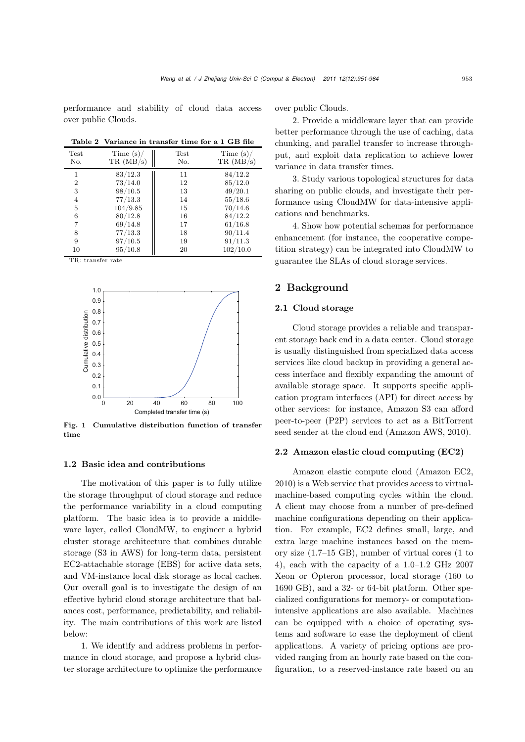performance and stability of cloud data access over public Clouds.

Table 2 Variance in transfer time for a 1 GB file

| Test<br>No. | Time $(s)/$<br>TR(MB/s) | Test<br>No. | Time $(s)$ /<br>TR(MB/s) |
|-------------|-------------------------|-------------|--------------------------|
| 1           | 83/12.3                 | 11          | 84/12.2                  |
| 2           | 73/14.0                 | 12          | 85/12.0                  |
| 3           | 98/10.5                 | 13          | 49/20.1                  |
| 4           | 77/13.3                 | 14          | 55/18.6                  |
| 5           | 104/9.85                | 15          | 70/14.6                  |
| 6           | 80/12.8                 | 16          | 84/12.2                  |
| 7           | 69/14.8                 | 17          | 61/16.8                  |
| 8           | 77/13.3                 | 18          | 90/11.4                  |
| 9           | 97/10.5                 | 19          | 91/11.3                  |
| 10          | 95/10.8                 | 20          | 102/10.0                 |

TR: transfer rate



Fig. 1 Cumulative distribution function of transfer time

#### 1.2 Basic idea and contributions

The motivation of this paper is to fully utilize the storage throughput of cloud storage and reduce the performance variability in a cloud computing platform. The basic idea is to provide a middleware layer, called CloudMW, to engineer a hybrid cluster storage architecture that combines durable storage (S3 in AWS) for long-term data, persistent EC2-attachable storage (EBS) for active data sets, and VM-instance local disk storage as local caches. Our overall goal is to investigate the design of an effective hybrid cloud storage architecture that balances cost, performance, predictability, and reliability. The main contributions of this work are listed below:

1. We identify and address problems in performance in cloud storage, and propose a hybrid cluster storage architecture to optimize the performance over public Clouds.

2. Provide a middleware layer that can provide better performance through the use of caching, data chunking, and parallel transfer to increase throughput, and exploit data replication to achieve lower variance in data transfer times.

3. Study various topological structures for data sharing on public clouds, and investigate their performance using CloudMW for data-intensive applications and benchmarks.

4. Show how potential schemas for performance enhancement (for instance, the cooperative competition strategy) can be integrated into CloudMW to guarantee the SLAs of cloud storage services.

# 2 Background

## 2.1 Cloud storage

Cloud storage provides a reliable and transparent storage back end in a data center. Cloud storage is usually distinguished from specialized data access services like cloud backup in providing a general access interface and flexibly expanding the amount of available storage space. It supports specific application program interfaces (API) for direct access by other services: for instance, Amazon S3 can afford peer-to-peer (P2P) services to act as a BitTorrent seed sender at the cloud end (Amazon AWS, 2010).

# 2.2 Amazon elastic cloud computing (EC2)

Amazon elastic compute cloud (Amazon EC2, 2010) is a Web service that provides access to virtualmachine-based computing cycles within the cloud. A client may choose from a number of pre-defined machine configurations depending on their application. For example, EC2 defines small, large, and extra large machine instances based on the memory size (1.7–<sup>15</sup> GB), number of virtual cores (<sup>1</sup> to <sup>4</sup>), each with the capacity of a <sup>1</sup>.0–1.<sup>2</sup> GHz 2007 Xeon or Opteron processor, local storage (160 to 1690 GB), and a 32- or 64-bit platform. Other specialized configurations for memory- or computationintensive applications are also available. Machines can be equipped with a choice of operating systems and software to ease the deployment of client applications. A variety of pricing options are provided ranging from an hourly rate based on the configuration, to a reserved-instance rate based on an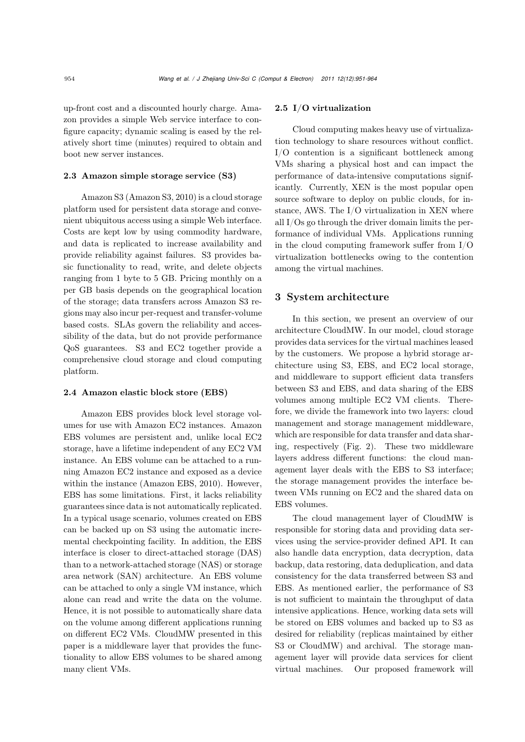up-front cost and a discounted hourly charge. Amazon provides a simple Web service interface to configure capacity; dynamic scaling is eased by the relatively short time (minutes) required to obtain and boot new server instances.

#### 2.3 Amazon simple storage service (S3)

Amazon S3 (Amazon S3, 2010) is a cloud storage platform used for persistent data storage and convenient ubiquitous access using a simple Web interface. Costs are kept low by using commodity hardware, and data is replicated to increase availability and provide reliability against failures. S3 provides basic functionality to read, write, and delete objects ranging from 1 byte to 5 GB. Pricing monthly on a per GB basis depends on the geographical location of the storage; data transfers across Amazon S3 regions may also incur per-request and transfer-volume based costs. SLAs govern the reliability and accessibility of the data, but do not provide performance QoS guarantees. S3 and EC2 together provide a comprehensive cloud storage and cloud computing platform.

#### 2.4 Amazon elastic block store (EBS)

Amazon EBS provides block level storage volumes for use with Amazon EC2 instances. Amazon EBS volumes are persistent and, unlike local EC2 storage, have a lifetime independent of any EC2 VM instance. An EBS volume can be attached to a running Amazon EC2 instance and exposed as a device within the instance (Amazon EBS, 2010). However, EBS has some limitations. First, it lacks reliability guarantees since data is not automatically replicated. In a typical usage scenario, volumes created on EBS can be backed up on S3 using the automatic incremental checkpointing facility. In addition, the EBS interface is closer to direct-attached storage (DAS) than to a network-attached storage (NAS) or storage area network (SAN) architecture. An EBS volume can be attached to only a single VM instance, which alone can read and write the data on the volume. Hence, it is not possible to automatically share data on the volume among different applications running on different EC2 VMs. CloudMW presented in this paper is a middleware layer that provides the functionality to allow EBS volumes to be shared among many client VMs.

#### 2.5 I/O virtualization

Cloud computing makes heavy use of virtualization technology to share resources without conflict. I/O contention is a significant bottleneck among VMs sharing a physical host and can impact the performance of data-intensive computations significantly. Currently, XEN is the most popular open source software to deploy on public clouds, for instance, AWS. The I/O virtualization in XEN where all I/Os go through the driver domain limits the performance of individual VMs. Applications running in the cloud computing framework suffer from I/O virtualization bottlenecks owing to the contention among the virtual machines.

# 3 System architecture

In this section, we present an overview of our architecture CloudMW. In our model, cloud storage provides data services for the virtual machines leased by the customers. We propose a hybrid storage architecture using S3, EBS, and EC2 local storage, and middleware to support efficient data transfers between S3 and EBS, and data sharing of the EBS volumes among multiple EC2 VM clients. Therefore, we divide the framework into two layers: cloud management and storage management middleware, which are responsible for data transfer and data sharing, respectively (Fig. 2). These two middleware layers address different functions: the cloud management layer deals with the EBS to S3 interface; the storage management provides the interface between VMs running on EC2 and the shared data on EBS volumes.

The cloud management layer of CloudMW is responsible for storing data and providing data services using the service-provider defined API. It can also handle data encryption, data decryption, data backup, data restoring, data deduplication, and data consistency for the data transferred between S3 and EBS. As mentioned earlier, the performance of S3 is not sufficient to maintain the throughput of data intensive applications. Hence, working data sets will be stored on EBS volumes and backed up to S3 as desired for reliability (replicas maintained by either S3 or CloudMW) and archival. The storage management layer will provide data services for client virtual machines. Our proposed framework will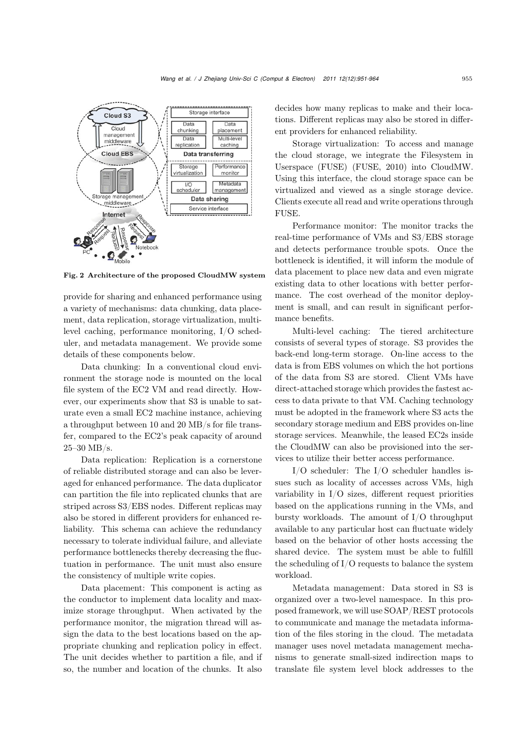

Fig. 2 Architecture of the proposed CloudMW system

provide for sharing and enhanced performance using a variety of mechanisms: data chunking, data placement, data replication, storage virtualization, multilevel caching, performance monitoring, I/O scheduler, and metadata management. We provide some details of these components below.

Data chunking: In a conventional cloud environment the storage node is mounted on the local file system of the EC2 VM and read directly. However, our experiments show that S3 is unable to saturate even a small EC2 machine instance, achieving a throughput between 10 and 20 MB/s for file transfer, compared to the EC2's peak capacity of around 25–30 MB/s.

Data replication: Replication is a cornerstone of reliable distributed storage and can also be leveraged for enhanced performance. The data duplicator can partition the file into replicated chunks that are striped across S3/EBS nodes. Different replicas may also be stored in different providers for enhanced reliability. This schema can achieve the redundancy necessary to tolerate individual failure, and alleviate performance bottlenecks thereby decreasing the fluctuation in performance. The unit must also ensure the consistency of multiple write copies.

Data placement: This component is acting as the conductor to implement data locality and maximize storage throughput. When activated by the performance monitor, the migration thread will assign the data to the best locations based on the appropriate chunking and replication policy in effect. The unit decides whether to partition a file, and if so, the number and location of the chunks. It also decides how many replicas to make and their locations. Different replicas may also be stored in different providers for enhanced reliability.

Storage virtualization: To access and manage the cloud storage, we integrate the Filesystem in Userspace (FUSE) (FUSE, 2010) into CloudMW. Using this interface, the cloud storage space can be virtualized and viewed as a single storage device. Clients execute all read and write operations through FUSE.

Performance monitor: The monitor tracks the real-time performance of VMs and S3/EBS storage and detects performance trouble spots. Once the bottleneck is identified, it will inform the module of data placement to place new data and even migrate existing data to other locations with better performance. The cost overhead of the monitor deployment is small, and can result in significant performance benefits.

Multi-level caching: The tiered architecture consists of several types of storage. S3 provides the back-end long-term storage. On-line access to the data is from EBS volumes on which the hot portions of the data from S3 are stored. Client VMs have direct-attached storage which provides the fastest access to data private to that VM. Caching technology must be adopted in the framework where S3 acts the secondary storage medium and EBS provides on-line storage services. Meanwhile, the leased EC2s inside the CloudMW can also be provisioned into the services to utilize their better access performance.

I/O scheduler: The I/O scheduler handles issues such as locality of accesses across VMs, high variability in I/O sizes, different request priorities based on the applications running in the VMs, and bursty workloads. The amount of I/O throughput available to any particular host can fluctuate widely based on the behavior of other hosts accessing the shared device. The system must be able to fulfill the scheduling of I/O requests to balance the system workload.

Metadata management: Data stored in S3 is organized over a two-level namespace. In this proposed framework, we will use SOAP/REST protocols to communicate and manage the metadata information of the files storing in the cloud. The metadata manager uses novel metadata management mechanisms to generate small-sized indirection maps to translate file system level block addresses to the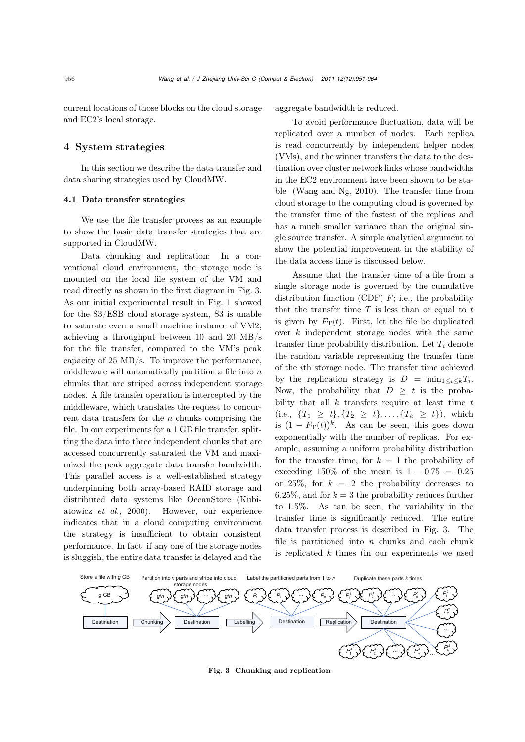current locations of those blocks on the cloud storage and EC2's local storage.

## 4 System strategies

In this section we describe the data transfer and data sharing strategies used by CloudMW.

# 4.1 Data transfer strategies

We use the file transfer process as an example to show the basic data transfer strategies that are supported in CloudMW.

Data chunking and replication: In a conventional cloud environment, the storage node is mounted on the local file system of the VM and read directly as shown in the first diagram in Fig. 3. As our initial experimental result in Fig. 1 showed for the S3/ESB cloud storage system, S3 is unable to saturate even a small machine instance of VM2, achieving a throughput between 10 and 20 MB/s for the file transfer, compared to the VM's peak capacity of 25 MB/s. To improve the performance, middleware will automatically partition a file into  $n$ chunks that are striped across independent storage nodes. A file transfer operation is intercepted by the middleware, which translates the request to concurrent data transfers for the  $n$  chunks comprising the file. In our experiments for a 1 GB file transfer, splitting the data into three independent chunks that are accessed concurrently saturated the VM and maximized the peak aggregate data transfer bandwidth. This parallel access is a well-established strategy underpinning both array-based RAID storage and distributed data systems like OceanStore (Kubiatowicz *et al.*, 2000). However, our experience indicates that in a cloud computing environment the strategy is insufficient to obtain consistent performance. In fact, if any one of the storage nodes is sluggish, the entire data transfer is delayed and the aggregate bandwidth is reduced.

To avoid performance fluctuation, data will be replicated over a number of nodes. Each replica is read concurrently by independent helper nodes (VMs), and the winner transfers the data to the destination over cluster network links whose bandwidths in the EC2 environment have been shown to be stable (Wang and Ng, 2010). The transfer time from cloud storage to the computing cloud is governed by the transfer time of the fastest of the replicas and has a much smaller variance than the original single source transfer. A simple analytical argument to show the potential improvement in the stability of the data access time is discussed below.

Assume that the transfer time of a file from a single storage node is governed by the cumulative distribution function (CDF)  $F$ ; i.e., the probability that the transfer time  $T$  is less than or equal to  $t$ is given by  $F_T(t)$ . First, let the file be duplicated over  $k$  independent storage nodes with the same transfer time probability distribution. Let <sup>T</sup>*<sup>i</sup>* denote the random variable representing the transfer time of the ith storage node. The transfer time achieved by the replication strategy is  $D = \min_{1 \le i \le k} T_i$ . Now, the probability that  $D \geq t$  is the probability that all  $k$  transfers require at least time  $t$ (i.e.,  $\{T_1 \geq t\}, \{T_2 \geq t\}, \ldots, \{T_k \geq t\}$ ), which is  $(1 - F<sub>T</sub>(t))$ <sup>k</sup>. As can be seen, this goes down exponentially with the number of replicas. For example, assuming a uniform probability distribution for the transfer time, for  $k = 1$  the probability of exceeding 150% of the mean is  $1 - 0.75 = 0.25$ or 25%, for  $k = 2$  the probability decreases to 6.25%, and for  $k = 3$  the probability reduces further to <sup>1</sup>.5%. As can be seen, the variability in the transfer time is significantly reduced. The entire data transfer process is described in Fig. 3. The file is partitioned into  $n$  chunks and each chunk is replicated  $k$  times (in our experiments we used



Fig. 3 Chunking and replication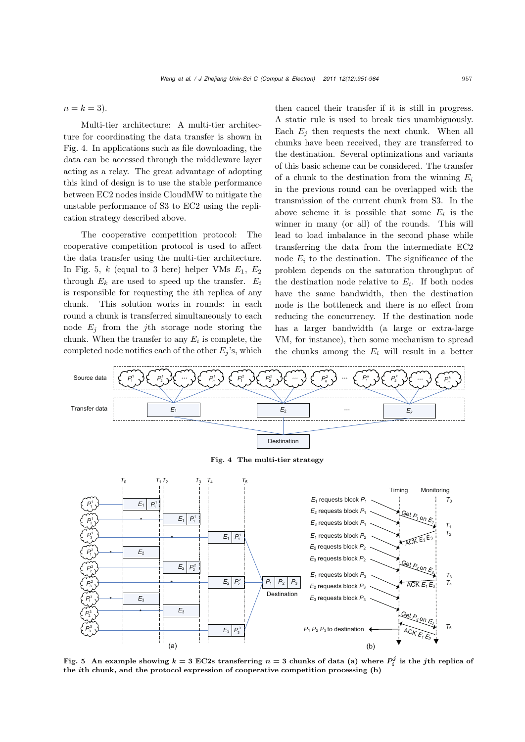$n = k = 3$ .

Multi-tier architecture: A multi-tier architecture for coordinating the data transfer is shown in Fig. 4. In applications such as file downloading, the data can be accessed through the middleware layer acting as a relay. The great advantage of adopting this kind of design is to use the stable performance between EC2 nodes inside CloudMW to mitigate the unstable performance of S3 to EC2 using the replication strategy described above.

The cooperative competition protocol: The cooperative competition protocol is used to affect the data transfer using the multi-tier architecture. In Fig. 5,  $k$  (equal to 3 here) helper VMs  $E_1, E_2$ through  $E_k$  are used to speed up the transfer.  $E_i$ is responsible for requesting the ith replica of any chunk. This solution works in rounds: in each round a chunk is transferred simultaneously to each node  $E_i$  from the *j*th storage node storing the chunk. When the transfer to any  $E_i$  is complete, the completed node notifies each of the other  $E_j$ 's, which

then cancel their transfer if it is still in progress. A static rule is used to break ties unambiguously. Each  $E_i$  then requests the next chunk. When all chunks have been received, they are transferred to the destination. Several optimizations and variants of this basic scheme can be considered. The transfer of a chunk to the destination from the winning  $E_i$ in the previous round can be overlapped with the transmission of the current chunk from S3. In the above scheme it is possible that some  $E_i$  is the winner in many (or all) of the rounds. This will lead to load imbalance in the second phase while transferring the data from the intermediate EC2 node  $E_i$  to the destination. The significance of the problem depends on the saturation throughput of the destination node relative to  $E_i$ . If both nodes have the same bandwidth, then the destination node is the bottleneck and there is no effect from reducing the concurrency. If the destination node has a larger bandwidth (a large or extra-large VM, for instance), then some mechanism to spread the chunks among the  $E_i$  will result in a better



Fig. 5 An example showing  $k = 3$  EC2s transferring  $n = 3$  chunks of data (a) where  $P_i^j$  is the *j*th replica of the *i*th chunk, and the protocol expression of cooperative competition processing (b)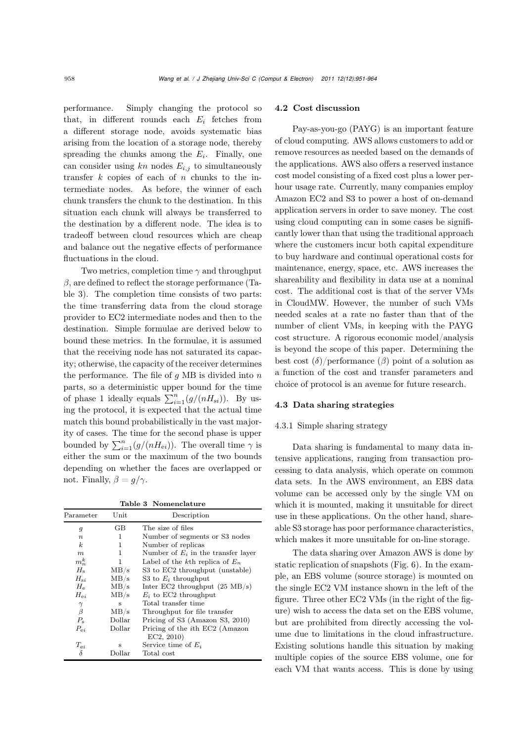performance. Simply changing the protocol so that, in different rounds each  $E_i$  fetches from a different storage node, avoids systematic bias arising from the location of a storage node, thereby spreading the chunks among the  $E_i$ . Finally, one can consider using  $kn$  nodes  $E_{i,j}$  to simultaneously transfer  $k$  copies of each of  $n$  chunks to the intermediate nodes. As before, the winner of each chunk transfers the chunk to the destination. In this situation each chunk will always be transferred to the destination by a different node. The idea is to tradeoff between cloud resources which are cheap and balance out the negative effects of performance fluctuations in the cloud.

Two metrics, completion time  $\gamma$  and throughput  $\beta$ , are defined to reflect the storage performance (Table 3). The completion time consists of two parts: the time transferring data from the cloud storage provider to EC2 intermediate nodes and then to the destination. Simple formulae are derived below to bound these metrics. In the formulae, it is assumed that the receiving node has not saturated its capacity; otherwise, the capacity of the receiver determines the performance. The file of  $q$  MB is divided into  $n$ parts, so a deterministic upper bound for the time of phase 1 ideally equals  $\sum_{i=1}^{n} (g/(nH_{si}))$ . By us-<br>ing the protocol it is expected that the actual time ing the protocol, it is expected that the actual time match this bound probabilistically in the vast majority of cases. The time for the second phase is upper bounded by  $\sum_{i=1}^{n} (g/(nH_{ei}))$ . The overall time  $\gamma$  is either the sum or the maximum of the two bounds depending on whether the faces are overlapped or not. Finally,  $\beta = q/\gamma$ .

Table 3 Nomenclature

| Parameter        | $_{\rm Unit}$ | Description                              |
|------------------|---------------|------------------------------------------|
| $\mathfrak{g}$   | GB            | The size of files                        |
| $\boldsymbol{n}$ | 1             | Number of segments or S3 nodes           |
| $\boldsymbol{k}$ | 1             | Number of replicas                       |
| $\boldsymbol{m}$ | 1             | Number of $E_i$ in the transfer layer    |
| $m_n^k$          | 1             | Label of the kth replica of $E_n$        |
| $H_{\rm s}$      | MB/s          | S3 to EC2 throughput (unstable)          |
| $H_{\rm si}$     | MB/s          | S3 to $E_i$ throughput                   |
| $H_{\rm e}$      | MB/s          | Inter EC2 throughput $(25 \text{ MB/s})$ |
| $H_{\rm ei}$     | MB/s          | $E_i$ to EC2 throughput                  |
| $\gamma$         | $\mathbf{s}$  | Total transfer time                      |
| $\beta$          | MB/s          | Throughput for file transfer             |
| $P_{\rm s}$      | Dollar        | Pricing of S3 (Amazon S3, 2010)          |
| $P_{ei}$         | Dollar        | Pricing of the <i>i</i> th EC2 (Amazon   |
|                  |               | EC2, 2010)                               |
| $T_{ei}$         | s             | Service time of $E_i$                    |
| δ                | Dollar        | Total cost                               |
|                  |               |                                          |

#### 4.2 Cost discussion

Pay-as-you-go (PAYG) is an important feature of cloud computing. AWS allows customers to add or remove resources as needed based on the demands of the applications. AWS also offers a reserved instance cost model consisting of a fixed cost plus a lower perhour usage rate. Currently, many companies employ Amazon EC2 and S3 to power a host of on-demand application servers in order to save money. The cost using cloud computing can in some cases be significantly lower than that using the traditional approach where the customers incur both capital expenditure to buy hardware and continual operational costs for maintenance, energy, space, etc. AWS increases the shareability and flexibility in data use at a nominal cost. The additional cost is that of the server VMs in CloudMW. However, the number of such VMs needed scales at a rate no faster than that of the number of client VMs, in keeping with the PAYG cost structure. A rigorous economic model/analysis is beyond the scope of this paper. Determining the best cost  $(\delta)$ /performance  $(\beta)$  point of a solution as a function of the cost and transfer parameters and choice of protocol is an avenue for future research.

#### 4.3 Data sharing strategies

#### 4.3.1 Simple sharing strategy

Data sharing is fundamental to many data intensive applications, ranging from transaction processing to data analysis, which operate on common data sets. In the AWS environment, an EBS data volume can be accessed only by the single VM on which it is mounted, making it unsuitable for direct use in these applications. On the other hand, shareable S3 storage has poor performance characteristics, which makes it more unsuitable for on-line storage.

The data sharing over Amazon AWS is done by static replication of snapshots (Fig. 6). In the example, an EBS volume (source storage) is mounted on the single EC2 VM instance shown in the left of the figure. Three other EC2 VMs (in the right of the figure) wish to access the data set on the EBS volume, but are prohibited from directly accessing the volume due to limitations in the cloud infrastructure. Existing solutions handle this situation by making multiple copies of the source EBS volume, one for each VM that wants access. This is done by using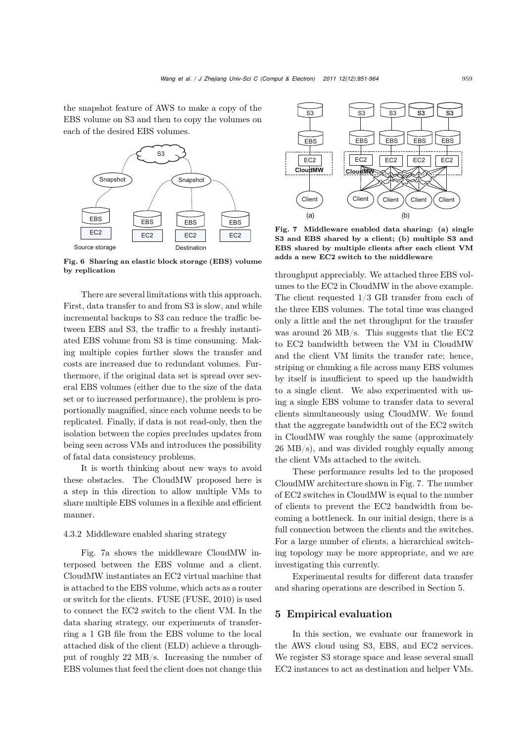the snapshot feature of AWS to make a copy of the EBS volume on S3 and then to copy the volumes on each of the desired EBS volumes.



Fig. 6 Sharing an elastic block storage (EBS) volume by replication

There are several limitations with this approach. First, data transfer to and from S3 is slow, and while incremental backups to S3 can reduce the traffic between EBS and S3, the traffic to a freshly instantiated EBS volume from S3 is time consuming. Making multiple copies further slows the transfer and costs are increased due to redundant volumes. Furthermore, if the original data set is spread over several EBS volumes (either due to the size of the data set or to increased performance), the problem is proportionally magnified, since each volume needs to be replicated. Finally, if data is not read-only, then the isolation between the copies precludes updates from being seen across VMs and introduces the possibility of fatal data consistency problems.

It is worth thinking about new ways to avoid these obstacles. The CloudMW proposed here is a step in this direction to allow multiple VMs to share multiple EBS volumes in a flexible and efficient manner.

#### 4.3.2 Middleware enabled sharing strategy

Fig. 7a shows the middleware CloudMW interposed between the EBS volume and a client. CloudMW instantiates an EC2 virtual machine that is attached to the EBS volume, which acts as a router or switch for the clients. FUSE (FUSE, 2010) is used to connect the EC2 switch to the client VM. In the data sharing strategy, our experiments of transferring a 1 GB file from the EBS volume to the local attached disk of the client (ELD) achieve a throughput of roughly 22 MB/s. Increasing the number of EBS volumes that feed the client does not change this



Fig. 7 Middleware enabled data sharing: (a) single S3 and EBS shared by a client; (b) multiple S3 and EBS shared by multiple clients after each client VM adds a new EC2 switch to the middleware

throughput appreciably. We attached three EBS volumes to the EC2 in CloudMW in the above example. The client requested 1/3 GB transfer from each of the three EBS volumes. The total time was changed only a little and the net throughput for the transfer was around 26 MB/s. This suggests that the EC2 to EC2 bandwidth between the VM in CloudMW and the client VM limits the transfer rate; hence, striping or chunking a file across many EBS volumes by itself is insufficient to speed up the bandwidth to a single client. We also experimented with using a single EBS volume to transfer data to several clients simultaneously using CloudMW. We found that the aggregate bandwidth out of the EC2 switch in CloudMW was roughly the same (approximately 26 MB/s), and was divided roughly equally among the client VMs attached to the switch.

These performance results led to the proposed CloudMW architecture shown in Fig. 7. The number of EC2 switches in CloudMW is equal to the number of clients to prevent the EC2 bandwidth from becoming a bottleneck. In our initial design, there is a full connection between the clients and the switches. For a large number of clients, a hierarchical switching topology may be more appropriate, and we are investigating this currently.

Experimental results for different data transfer and sharing operations are described in Section 5.

## 5 Empirical evaluation

In this section, we evaluate our framework in the AWS cloud using S3, EBS, and EC2 services. We register S3 storage space and lease several small EC2 instances to act as destination and helper VMs.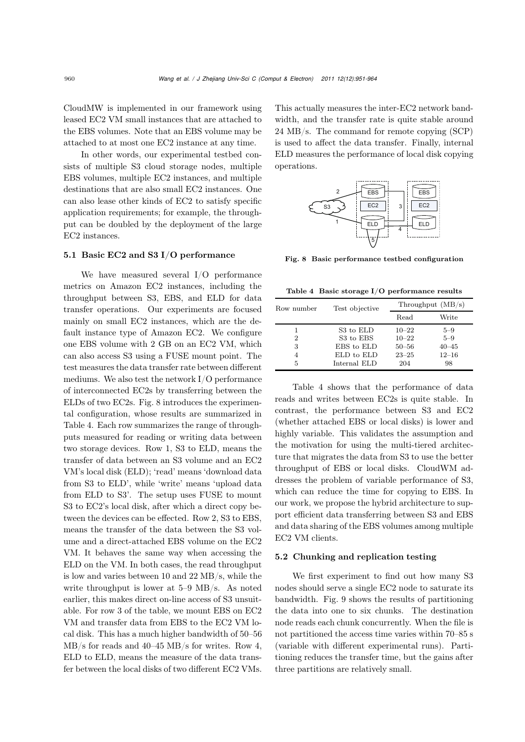CloudMW is implemented in our framework using leased EC2 VM small instances that are attached to the EBS volumes. Note that an EBS volume may be attached to at most one EC2 instance at any time.

In other words, our experimental testbed consists of multiple S3 cloud storage nodes, multiple EBS volumes, multiple EC2 instances, and multiple destinations that are also small EC2 instances. One can also lease other kinds of EC2 to satisfy specific application requirements; for example, the throughput can be doubled by the deployment of the large EC2 instances.

# 5.1 Basic EC2 and S3 I/O performance

We have measured several I/O performance metrics on Amazon EC2 instances, including the throughput between S3, EBS, and ELD for data transfer operations. Our experiments are focused mainly on small EC2 instances, which are the default instance type of Amazon EC2. We configure one EBS volume with 2 GB on an EC2 VM, which can also access S3 using a FUSE mount point. The test measures the data transfer rate between different mediums. We also test the network I/O performance of interconnected EC2s by transferring between the ELDs of two EC2s. Fig. 8 introduces the experimental configuration, whose results are summarized in Table 4. Each row summarizes the range of throughputs measured for reading or writing data between two storage devices. Row 1, S3 to ELD, means the transfer of data between an S3 volume and an EC2 VM's local disk (ELD); 'read' means 'download data from S3 to ELD', while 'write' means 'upload data from ELD to S3'. The setup uses FUSE to mount S3 to EC2's local disk, after which a direct copy between the devices can be effected. Row 2, S3 to EBS, means the transfer of the data between the S3 volume and a direct-attached EBS volume on the EC2 VM. It behaves the same way when accessing the ELD on the VM. In both cases, the read throughput is low and varies between 10 and 22 MB/s, while the write throughput is lower at 5–9 MB/s. As noted earlier, this makes direct on-line access of S3 unsuitable. For row 3 of the table, we mount EBS on EC2 VM and transfer data from EBS to the EC2 VM local disk. This has a much higher bandwidth of 50–56 MB/s for reads and 40–45 MB/s for writes. Row 4, ELD to ELD, means the measure of the data transfer between the local disks of two different EC2 VMs. This actually measures the inter-EC2 network bandwidth, and the transfer rate is quite stable around 24 MB/s. The command for remote copying (SCP) is used to affect the data transfer. Finally, internal ELD measures the performance of local disk copying operations.



Fig. 8 Basic performance testbed configuration

Table 4 Basic storage I/O performance results

| Row number | Test objective        | Throughput $(MB/s)$ |           |
|------------|-----------------------|---------------------|-----------|
|            |                       | Read                | Write     |
|            | S <sub>3</sub> to ELD | $10 - 22$           | 5–9       |
| 2          | S3 to EBS             | $10 - 22$           | $5 - 9$   |
| 3          | EBS to ELD            | $50 - 56$           | $40 - 45$ |
| 4          | ELD to ELD            | $23 - 25$           | $12 - 16$ |
| 5          | Internal ELD          | 204                 | 98        |

Table 4 shows that the performance of data reads and writes between EC2s is quite stable. In contrast, the performance between S3 and EC2 (whether attached EBS or local disks) is lower and highly variable. This validates the assumption and the motivation for using the multi-tiered architecture that migrates the data from S3 to use the better throughput of EBS or local disks. CloudWM addresses the problem of variable performance of S3, which can reduce the time for copying to EBS. In our work, we propose the hybrid architecture to support efficient data transferring between S3 and EBS and data sharing of the EBS volumes among multiple EC2 VM clients.

#### 5.2 Chunking and replication testing

We first experiment to find out how many S3 nodes should serve a single EC2 node to saturate its bandwidth. Fig. 9 shows the results of partitioning the data into one to six chunks. The destination node reads each chunk concurrently. When the file is not partitioned the access time varies within 70–85 s (variable with different experimental runs). Partitioning reduces the transfer time, but the gains after three partitions are relatively small.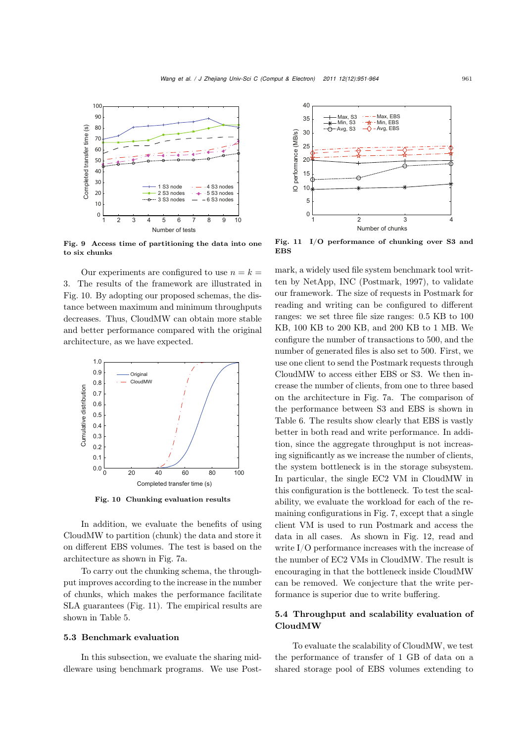

Fig. 9 Access time of partitioning the data into one to six chunks

Our experiments are configured to use  $n = k =$ 3. The results of the framework are illustrated in Fig. 10. By adopting our proposed schemas, the distance between maximum and minimum throughputs decreases. Thus, CloudMW can obtain more stable and better performance compared with the original architecture, as we have expected.



Fig. 10 Chunking evaluation results

In addition, we evaluate the benefits of using CloudMW to partition (chunk) the data and store it on different EBS volumes. The test is based on the architecture as shown in Fig. 7a.

To carry out the chunking schema, the throughput improves according to the increase in the number of chunks, which makes the performance facilitate SLA guarantees (Fig. 11). The empirical results are shown in Table 5.

# 5.3 Benchmark evaluation

In this subsection, we evaluate the sharing middleware using benchmark programs. We use Post-



Fig. 11 I/O performance of chunking over S3 and **EBS** 

mark, a widely used file system benchmark tool written by NetApp, INC (Postmark, 1997), to validate our framework. The size of requests in Postmark for reading and writing can be configured to different ranges: we set three file size ranges: <sup>0</sup>.<sup>5</sup> KB to <sup>100</sup> KB, 100 KB to 200 KB, and 200 KB to 1 MB. We configure the number of transactions to 500, and the number of generated files is also set to 500. First, we use one client to send the Postmark requests through CloudMW to access either EBS or S3. We then increase the number of clients, from one to three based on the architecture in Fig. 7a. The comparison of the performance between S3 and EBS is shown in Table 6. The results show clearly that EBS is vastly better in both read and write performance. In addition, since the aggregate throughput is not increasing significantly as we increase the number of clients, the system bottleneck is in the storage subsystem. In particular, the single EC2 VM in CloudMW in this configuration is the bottleneck. To test the scalability, we evaluate the workload for each of the remaining configurations in Fig. 7, except that a single client VM is used to run Postmark and access the data in all cases. As shown in Fig. 12, read and write I/O performance increases with the increase of the number of EC2 VMs in CloudMW. The result is encouraging in that the bottleneck inside CloudMW can be removed. We conjecture that the write performance is superior due to write buffering.

# 5.4 Throughput and scalability evaluation of CloudMW

To evaluate the scalability of CloudMW, we test the performance of transfer of 1 GB of data on a shared storage pool of EBS volumes extending to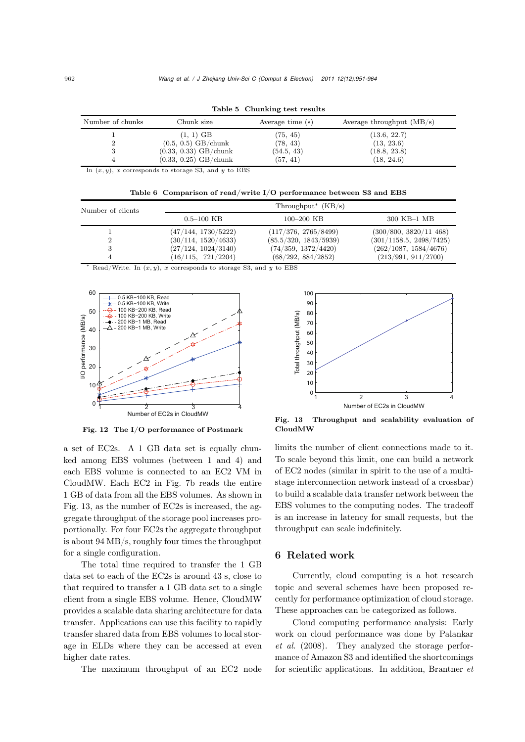| Number of chunks | Chunk size              | Average time (s) | Average throughput $(MB/s)$ |
|------------------|-------------------------|------------------|-----------------------------|
|                  | $(1, 1)$ GB             | (75, 45)         | (13.6, 22.7)                |
|                  | $(0.5, 0.5)$ GB/chunk   | (78, 43)         | (13, 23.6)                  |
|                  | $(0.33, 0.33)$ GB/chunk | (54.5, 43)       | (18.8, 23.8)                |
|                  | $(0.33, 0.25)$ GB/chunk | (57, 41)         | (18, 24.6)                  |

Table 5 Chunking test results

In  $(x, y)$ , *x* corresponds to storage S3, and *y* to EBS

Table 6 Comparison of read/write I/O performance between S3 and EBS

| Number of clients |                     | Throughput <sup>*</sup> $(KB/s)$ |                         |
|-------------------|---------------------|----------------------------------|-------------------------|
|                   | $0.5 - 100$ KB      | $100 - 200$ KB                   | 300 KB-1 MB             |
|                   | (47/144, 1730/5222) | (117/376, 2765/8499)             | (300/800, 3820/11, 468) |
|                   | (30/114, 1520/4633) | (85.5/320, 1843/5939)            | (301/1158.5, 2498/7425) |
|                   | (27/124, 1024/3140) | (74/359, 1372/4420)              | (262/1087, 1584/4676)   |
|                   | (16/115, 721/2204)  | (68/292, 884/2852)               | (213/991, 911/2700)     |

<sup>∗</sup> Read/Write. In (*x, y*), *x* corresponds to storage S3, and *y* to EBS



Fig. 12 The I/O performance of Postmark

a set of EC2s. A 1 GB data set is equally chunked among EBS volumes (between 1 and 4) and each EBS volume is connected to an EC2 VM in CloudMW. Each EC2 in Fig. 7b reads the entire 1 GB of data from all the EBS volumes. As shown in Fig. 13, as the number of EC2s is increased, the aggregate throughput of the storage pool increases proportionally. For four EC2s the aggregate throughput is about 94 MB/s, roughly four times the throughput for a single configuration.

The total time required to transfer the 1 GB data set to each of the EC2s is around 43 s, close to that required to transfer a 1 GB data set to a single client from a single EBS volume. Hence, CloudMW provides a scalable data sharing architecture for data transfer. Applications can use this facility to rapidly transfer shared data from EBS volumes to local storage in ELDs where they can be accessed at even higher date rates.

The maximum throughput of an EC2 node



Fig. 13 Throughput and scalability evaluation of CloudMW

limits the number of client connections made to it. To scale beyond this limit, one can build a network of EC2 nodes (similar in spirit to the use of a multistage interconnection network instead of a crossbar) to build a scalable data transfer network between the EBS volumes to the computing nodes. The tradeoff is an increase in latency for small requests, but the throughput can scale indefinitely.

# 6 Related work

Currently, cloud computing is a hot research topic and several schemes have been proposed recently for performance optimization of cloud storage. These approaches can be categorized as follows.

Cloud computing performance analysis: Early work on cloud performance was done by Palankar *et al.* (2008). They analyzed the storage performance of Amazon S3 and identified the shortcomings for scientific applications. In addition, Brantner *et*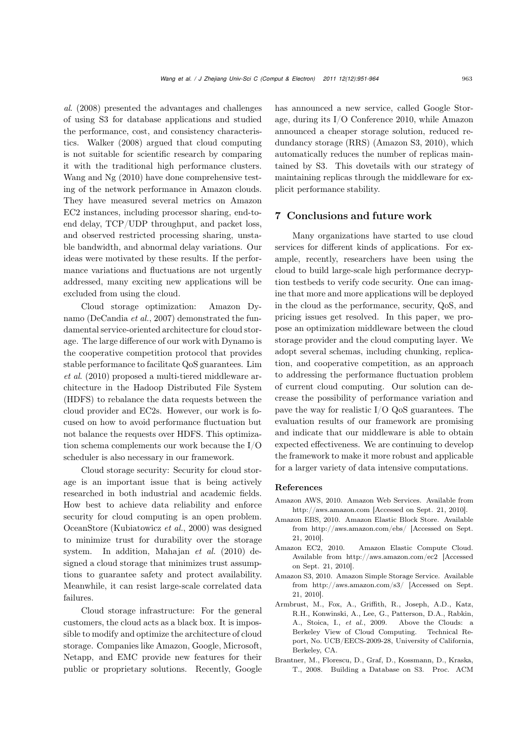*al*. (2008) presented the advantages and challenges of using S3 for database applications and studied the performance, cost, and consistency characteristics. Walker (2008) argued that cloud computing is not suitable for scientific research by comparing it with the traditional high performance clusters. Wang and Ng (2010) have done comprehensive testing of the network performance in Amazon clouds. They have measured several metrics on Amazon EC2 instances, including processor sharing, end-toend delay, TCP/UDP throughput, and packet loss, and observed restricted processing sharing, unstable bandwidth, and abnormal delay variations. Our ideas were motivated by these results. If the performance variations and fluctuations are not urgently addressed, many exciting new applications will be excluded from using the cloud.

Cloud storage optimization: Amazon Dynamo (DeCandia *et al.*, 2007) demonstrated the fundamental service-oriented architecture for cloud storage. The large difference of our work with Dynamo is the cooperative competition protocol that provides stable performance to facilitate QoS guarantees. Lim *et al*. (2010) proposed a multi-tiered middleware architecture in the Hadoop Distributed File System (HDFS) to rebalance the data requests between the cloud provider and EC2s. However, our work is focused on how to avoid performance fluctuation but not balance the requests over HDFS. This optimization schema complements our work because the I/O scheduler is also necessary in our framework.

Cloud storage security: Security for cloud storage is an important issue that is being actively researched in both industrial and academic fields. How best to achieve data reliability and enforce security for cloud computing is an open problem. OceanStore (Kubiatowicz *et al.*, 2000) was designed to minimize trust for durability over the storage system. In addition, Mahajan *et al.* (2010) designed a cloud storage that minimizes trust assumptions to guarantee safety and protect availability. Meanwhile, it can resist large-scale correlated data failures.

Cloud storage infrastructure: For the general customers, the cloud acts as a black box. It is impossible to modify and optimize the architecture of cloud storage. Companies like Amazon, Google, Microsoft, Netapp, and EMC provide new features for their public or proprietary solutions. Recently, Google has announced a new service, called Google Storage, during its I/O Conference 2010, while Amazon announced a cheaper storage solution, reduced redundancy storage (RRS) (Amazon S3, 2010), which automatically reduces the number of replicas maintained by S3. This dovetails with our strategy of maintaining replicas through the middleware for explicit performance stability.

# 7 Conclusions and future work

Many organizations have started to use cloud services for different kinds of applications. For example, recently, researchers have been using the cloud to build large-scale high performance decryption testbeds to verify code security. One can imagine that more and more applications will be deployed in the cloud as the performance, security, QoS, and pricing issues get resolved. In this paper, we propose an optimization middleware between the cloud storage provider and the cloud computing layer. We adopt several schemas, including chunking, replication, and cooperative competition, as an approach to addressing the performance fluctuation problem of current cloud computing. Our solution can decrease the possibility of performance variation and pave the way for realistic I/O QoS guarantees. The evaluation results of our framework are promising and indicate that our middleware is able to obtain expected effectiveness. We are continuing to develop the framework to make it more robust and applicable for a larger variety of data intensive computations.

#### References

- Amazon AWS, 2010. Amazon Web Services. Available from http://aws.amazon.com [Accessed on Sept. 21, 2010].
- Amazon EBS, 2010. Amazon Elastic Block Store. Available from http://aws.amazon.com/ebs/ [Accessed on Sept. 21, 2010].
- Amazon EC2, 2010. Amazon Elastic Compute Cloud. Available from http://aws.amazon.com/ec2 [Accessed on Sept. 21, 2010].
- Amazon S3, 2010. Amazon Simple Storage Service. Available from http://aws.amazon.com/s3/ [Accessed on Sept. 21, 2010].
- Armbrust, M., Fox, A., Griffith, R., Joseph, A.D., Katz, R.H., Konwinski, A., Lee, G., Patterson, D.A., Rabkin, A., Stoica, I., *et al.*, 2009. Above the Clouds: a Berkeley View of Cloud Computing. Technical Report, No. UCB/EECS-2009-28, University of California, Berkeley, CA.
- Brantner, M., Florescu, D., Graf, D., Kossmann, D., Kraska, T., 2008. Building a Database on S3. Proc. ACM